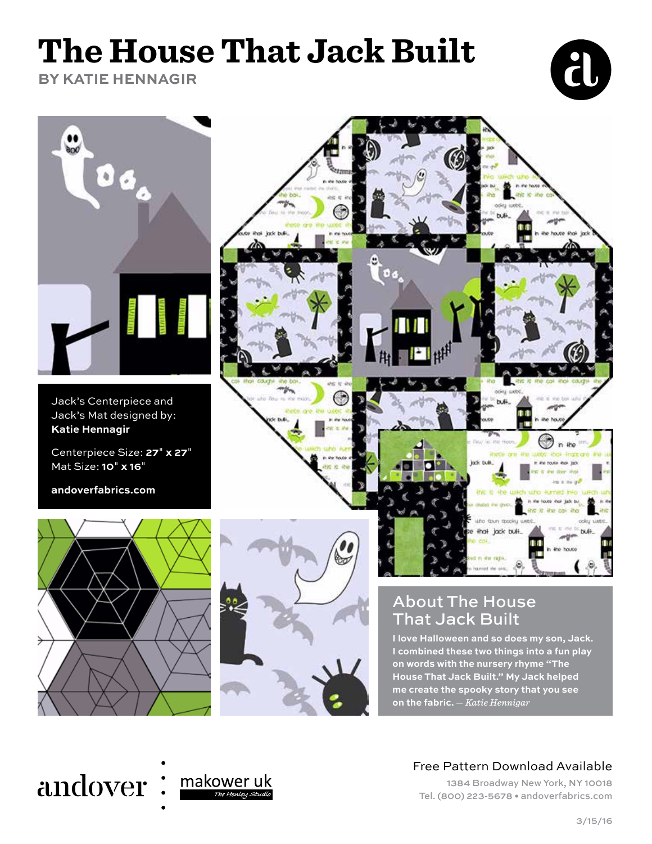# **The House That Jack Built**

**BY KATIE HENNAGIR**





Jack's Centerpiece and Jack's Mat designed by: **Katie Hennagir**

Centerpiece Size: **27**" **x 27**" Mat Size: **10**" **x 16**"

**andoverfabrics.com**





**I love Halloween and so does my son, Jack. I combined these two things into a fun play on words with the nursery rhyme "The House That Jack Built." My Jack helped me create the spooky story that you see on the fabric.** — *Katie Hennigar*

## andover:



## Free Pattern Download Available

1384 Broadway New York, NY 10018 Tel. (800) 223-5678 • andoverfabrics.com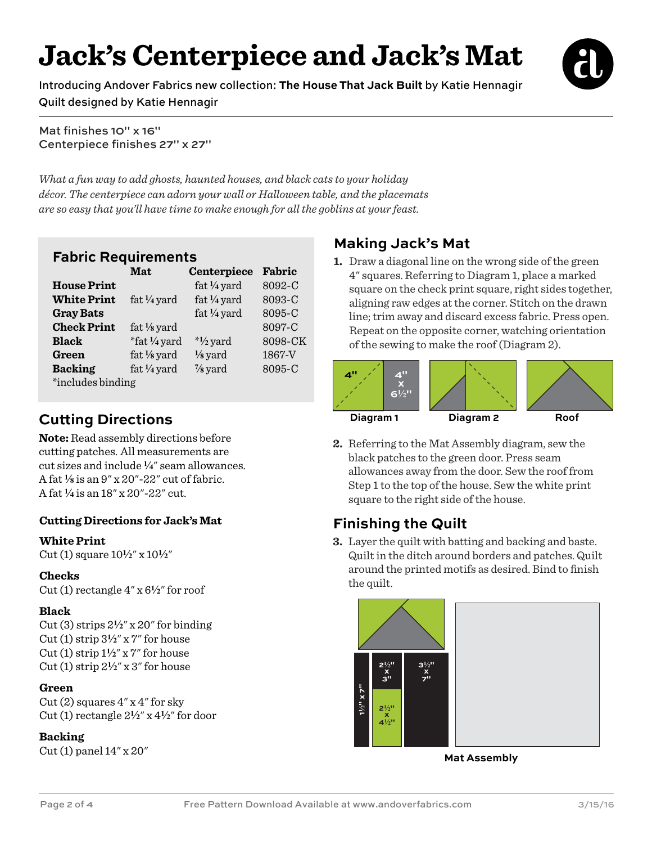## **Jack's Centerpiece and Jack's Mat**

Introducing Andover Fabrics new collection: **The House That Jack Built** by Katie Hennagir Quilt designed by Katie Hennagir



Mat finishes 10" x 16" Centerpiece finishes 27" x 27"

*What a fun way to add ghosts, haunted houses, and black cats to your holiday décor. The centerpiece can adorn your wall or Halloween table, and the placemats are so easy that you'll have time to make enough for all the goblins at your feast.* 

## **Fabric Requirements**

|                    | Mat                    | Centerpiece            | Fabric  |
|--------------------|------------------------|------------------------|---------|
| <b>House Print</b> |                        | fat $\frac{1}{4}$ yard | 8092-C  |
| <b>White Print</b> | fat $\frac{1}{4}$ yard | fat $\frac{1}{4}$ yard | 8093-C  |
| <b>Gray Bats</b>   |                        | fat $\frac{1}{4}$ yard | 8095-C  |
| <b>Check Print</b> | fat $\frac{1}{8}$ yard |                        | 8097-C  |
| <b>Black</b>       | *fat 1/4 yard          | $*1/2$ yard            | 8098-CK |
| Green              | fat $\frac{1}{8}$ yard | $\frac{1}{8}$ yard     | 1867-V  |
| <b>Backing</b>     | fat $\frac{1}{4}$ yard | $\frac{7}{8}$ yard     | 8095-C  |
| *includes binding  |                        |                        |         |

## **Cutting Directions**

**Note:** Read assembly directions before cutting patches. All measurements are cut sizes and include **4**" seam allowances. A fat **8** is an 9" x 20"-22" cut of fabric. A fat **4** is an 18" x 20"-22" cut.

## **Cutting Directions for Jack's Mat**

## **White Print**

Cut (1) square 10**2**" x 10**2**"

## **Checks**

Cut (1) rectangle  $4'' \times 6\frac{1}{2}$  for roof

## **Black**

Cut (3) strips  $2\frac{1}{2}$ " x 20" for binding Cut (1) strip  $3\frac{1}{2}$ " x 7" for house Cut (1) strip  $1\frac{1}{2}$ " x 7" for house Cut  $(1)$  strip  $2\frac{1}{2}$ " x 3" for house

## **Green**

Cut  $(2)$  squares  $4''$  x  $4''$  for sky Cut (1) rectangle 2**2**" x 4**2**" for door

## **Backing**

Cut (1) panel 14" x 20"

## **Making Jack's Mat**

**1.** Draw a diagonal line on the wrong side of the green 4" squares. Referring to Diagram 1, place a marked square on the check print square, right sides together, aligning raw edges at the corner. Stitch on the drawn line; trim away and discard excess fabric. Press open. Repeat on the opposite corner, watching orientation of the sewing to make the roof (Diagram 2).



**2.** Referring to the Mat Assembly diagram, sew the black patches to the green door. Press seam allowances away from the door. Sew the roof from Step 1 to the top of the house. Sew the white print square to the right side of the house.

## **Finishing the Quilt**

**3.** Layer the quilt with batting and backing and baste. Quilt in the ditch around borders and patches. Quilt around the printed motifs as desired. Bind to finish the quilt.



**Mat Assembly**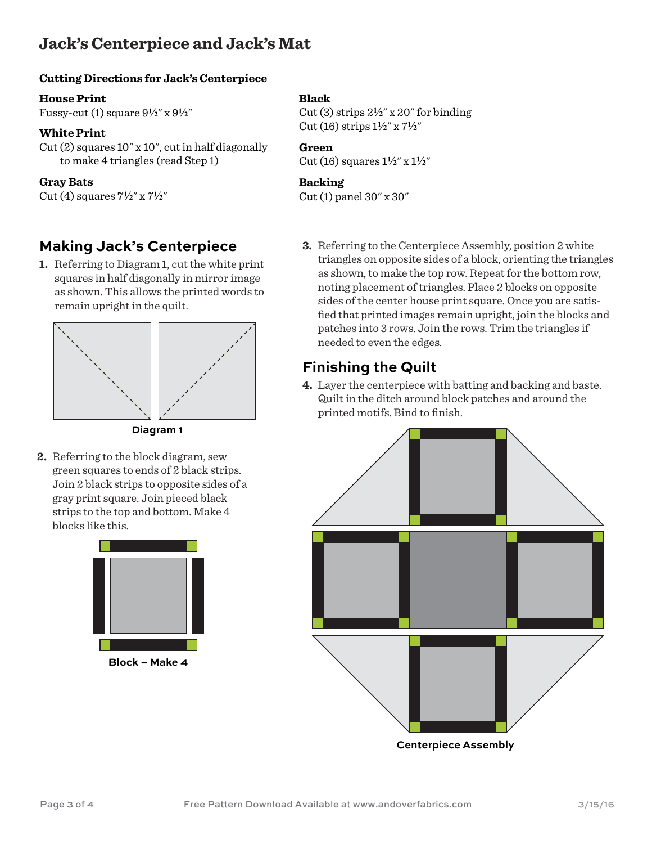#### **Cutting Directions for Jack's Centerpiece**

#### **House Print**

Fussy-cut (1) square 9**2**" x 9**2**"

#### **White Print**

Cut (2) squares 10" x 10", cut in half diagonally to make 4 triangles (read Step 1)

#### **Gray Bats**

Cut (4) squares 7**2**" x 7**2**"

## **Making Jack's Centerpiece**

**1.** Referring to Diagram 1, cut the white print squares in half diagonally in mirror image as shown. This allows the printed words to remain upright in the quilt.



**Diagram 1**

**2.** Referring to the block diagram, sew green squares to ends of 2 black strips. Join 2 black strips to opposite sides of a gray print square. Join pieced black strips to the top and bottom. Make 4 blocks like this.



#### **Black**

Cut (3) strips 2**2**" x 20" for binding Cut (16) strips 1**2**" x 7**2**"

## **Green**

Cut (16) squares 1**2**" x 1**2**"

#### **Backing**

Cut (1) panel 30" x 30"

**3.** Referring to the Centerpiece Assembly, position 2 white triangles on opposite sides of a block, orienting the triangles as shown, to make the top row. Repeat for the bottom row, noting placement of triangles. Place 2 blocks on opposite sides of the center house print square. Once you are satisfied that printed images remain upright, join the blocks and patches into 3 rows. Join the rows. Trim the triangles if needed to even the edges.

## **Finishing the Quilt**

**4.** Layer the centerpiece with batting and backing and baste. Quilt in the ditch around block patches and around the printed motifs. Bind to finish.



**Centerpiece Assembly**